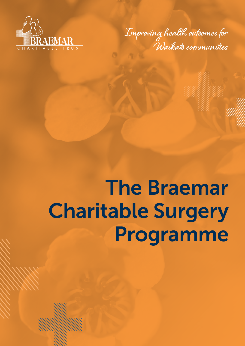

**Improving health outcomes for Waikato communities**

# The Braemar Charitable Surgery Programme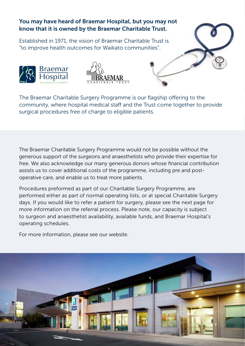## You may have heard of Braemar Hospital, but you may not know that it is owned by the Braemar Charitable Trust.

Established in 1971, the vision of Braemar Charitable Trust is "to improve health outcomes for Waikato communities".





The Braemar Charitable Surgery Programme is our flagship offering to the community, where hospital medical staff and the Trust come together to provide surgical procedures free of charge to eligible patients.

The Braemar Charitable Surgery Programme would not be possible without the generous support of the surgeons and anaesthetists who provide their expertise for free. We also acknowledge our many generous donors whose financial contribution assists us to cover additional costs of the programme, including pre and postoperative care, and enable us to treat more patients.

Procedures preformed as part of our Charitable Surgery Programme, are performed either as part of normal operating lists, or at special Charitable Surgery days. If you would like to refer a patient for surgery, please see the next page for more information on the referral process. Please note, our capacity is subject to surgeon and anaesthetist availability, available funds, and Braemar Hospital's operating schedules.

For more information, please see our website.

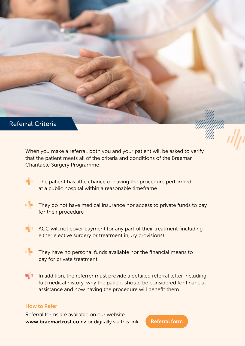### Referral Criteria

When you make a referral, both you and your patient will be asked to verify that the patient meets all of the criteria and conditions of the Braemar Charitable Surgery Programme:

The patient has little chance of having the procedure performed at a public hospital within a reasonable timeframe



They do not have medical insurance nor access to private funds to pay for their procedure



ACC will not cover payment for any part of their treatment (including either elective surgery or treatment injury provisions)



They have no personal funds available nor the financial means to pay for private treatment

In addition, the referrer must provide a detailed referral letter including full medical history, why the patient should be considered for financial assistance and how having the procedure will benefit them.

#### How to Refer

Referral forms are available on our website www.braemartrust.co.nz or digitally via this link:

[Referral form](https://www.braemartrust.co.nz/page/what-we-do/)